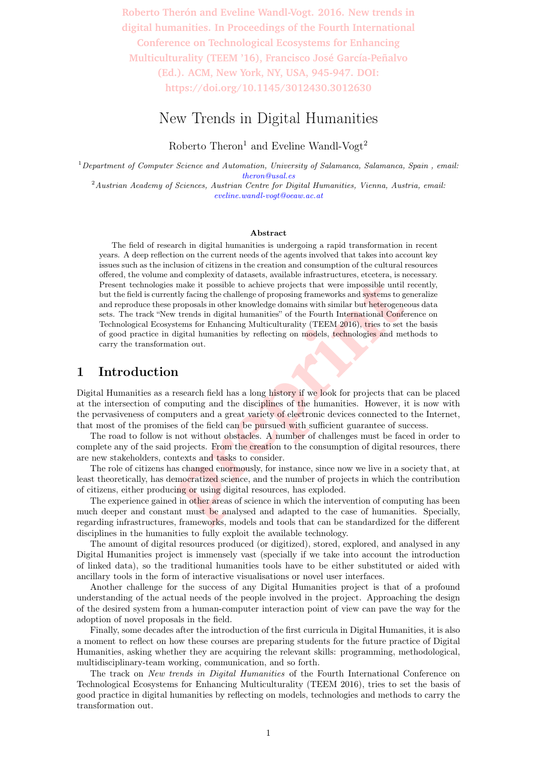**Roberto Therón and Eveline Wandl-Vogt. 2016. New trends in digital humanities. In Proceedings of the Fourth International Conference on Technological Ecosystems for Enhancing Multiculturality (TEEM '16), Francisco José García-Peñalvo (Ed.). ACM, New York, NY, USA, 945-947. DOI: https://doi.org/10.1145/3012430.3012630**

# New Trends in Digital Humanities

Roberto Theron <sup>1</sup> and Eveline Wandl-Vogt 2

 $1$  Department of Computer Science and Automation, University of Salamanca, Salamanca, Spain, email: [theron@usal.es](mailto:theron@usal.es)

 $2A$ ustrian Academy of Sciences, Austrian Centre for Digital Humanities, Vienna, Austria, email: [eveline.wandl-vogt@oeaw.ac.at](mailto:eveline.wandl-vogt@oeaw.ac.at)

#### Abstract

make it possible to achieve projects that were impossible until<br>thy facing the challenge of proposing frameworks and systems to g<br>proposals in other knowledge domains with similar but hericrogene<br>terms for trends in digit The field of research in digital humanities is undergoing a rapid transformation in recent years. A deep reflection on the current needs of the agents involved that takes into account key issues such as the inclusion of citizens in the creation and consumption of the cultural resources offered, the volume and complexity of datasets, available infrastructures, etcetera, is necessary. Present technologies make it possible to achieve projects that were impossible until recently, but the field is currently facing the challenge of proposing frameworks and systems to generalize and reproduce these proposals in other knowledge domains with similar but heterogeneous data sets. The track "New trends in digital humanities" of the Fourth International Conference on Technological Ecosystems for Enhancing Multiculturality (TEEM 2016), tries to set the basis of good practice in digital humanities by reflecting on models, technologies and methods to carry the transformation out.

#### 1 Introduction

Digital Humanities as a research field has a long history if we look for projects that can be placed at the intersection of computing and the disciplines of the humanities. However, it is now with the pervasiveness of computers and a great variety of electronic devices connected to the Internet, that most of the promises of the field can be pursued with sufficient guarantee of success.

The road to follow is not without obstacles. A number of challenges must be faced in order to complete any of the said projects. From the creation to the consumption of digital resources, there are new stakeholders, contexts and tasks to consider.

The role of citizens has changed enormously, for instance, since now we live in a society that, at least theoretically, has democratized science, and the number of projects in which the contribution of citizens, either producing or using digital resources, has exploded.

The experience gained in other areas of science in which the intervention of computing has been much deeper and constant must be analysed and adapted to the case of humanities. Specially, regarding infrastructures, frameworks, models and tools that can be standardized for the different disciplines in the humanities to fully exploit the available technology.

The amount of digital resources produced (or digitized), stored, explored, and analysed in any Digital Humanities project is immensely vast (specially if we take into account the introduction of linked data), so the traditional humanities tools have to be either substituted or aided with ancillary tools in the form of interactive visualisations or novel user interfaces.

Another challenge for the success of any Digital Humanities project is that of a profound understanding of the actual needs of the people involved in the project. Approaching the design of the desired system from a human-computer interaction point of view can pave the way for the adoption of novel proposals in the field.

Finally, some decades after the introduction of the first curricula in Digital Humanities, it is also a moment to reflect on how these courses are preparing students for the future practice of Digital Humanities, asking whether they are acquiring the relevant skills: programming, methodological, multidisciplinary-team working, communication, and so forth.

The track on New trends in Digital Humanities of the Fourth International Conference on Technological Ecosystems for Enhancing Multiculturality (TEEM 2016), tries to set the basis of good practice in digital humanities by reflecting on models, technologies and methods to carry the transformation out.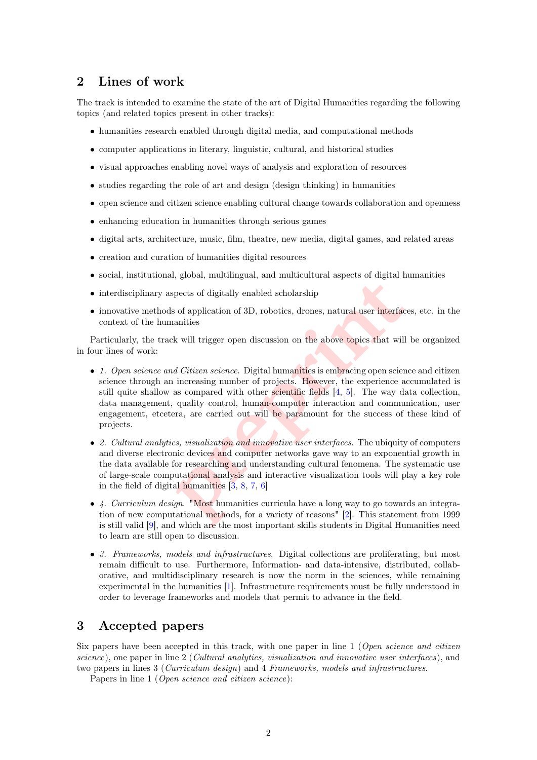# 2 Lines of work

The track is intended to examine the state of the art of Digital Humanities regarding the following topics (and related topics present in other tracks):

- humanities research enabled through digital media, and computational methods
- computer applications in literary, linguistic, cultural, and historical studies
- visual approaches enabling novel ways of analysis and exploration of resources
- studies regarding the role of art and design (design thinking) in humanities
- open science and citizen science enabling cultural change towards collaboration and openness
- enhancing education in humanities through serious games
- digital arts, architecture, music, film, theatre, new media, digital games, and related areas
- creation and curation of humanities digital resources
- social, institutional, global, multilingual, and multicultural aspects of digital humanities
- interdisciplinary aspects of digitally enabled scholarship
- innovative methods of application of 3D, robotics, drones, natural user interfaces, etc. in the context of the humanities

Particularly, the track will trigger open discussion on the above topics that will be organized in four lines of work:

- [pr](#page-3-2)ocess of digitally enabled schola[r](#page-3-0)ship<br>process of digitally enabled scholarship<br>antities<br>antities<br>k will trigger open discussion on the above topics that will<br>d Citizen science. Digital humanities is embracing open scien • 1. Open science and Citizen science. Digital humanities is embracing open science and citizen science through an increasing number of projects. However, the experience accumulated is still quite shallow as compared with other scientific fields [4, 5]. The way data collection, data management, quality control, human-computer interaction and communication, user engagement, etcetera, are carried out will be paramount for the success of these kind of projects.
- 2. Cultural analytics, visualization and innovative user interfaces. The ubiquity of computers and diverse electronic devices and computer networks gave way to an exponential growth in the data available for researching and understanding cultural fenomena. The systematic use of large-scale computational analysis and interactive visualization tools will play a key role in the field of digital humanities  $\left[3, 8, 7, 6\right]$
- 4. Curriculum design. "Most humanities curricula have a long way to go towards an integration of new computational methods, for a variety of reasons" [2]. This statement from 1999 is still valid [ [9\]](#page-3-7), and which are the most important skills students in Digital Humanities need to learn are still open to discussion.
- 3. Frameworks, models and infrastructures. Digital collections are proliferating, but most remain difficult to use. Furthermore, Information- and data-intensive, distributed, collaborative, and multidisciplinary research is now the norm in the sciences, while remaining experimental in the humanities [ [1\]](#page-3-8). Infrastructure requirements must be fully understood in order to leverage frameworks and models that permit to advance in the field.

### 3 Accepted papers

Six papers have been accepted in this track, with one paper in line  $1$  (*Open science and citizen* science), one paper in line 2 (Cultural analytics, visualization and innovative user interfaces), and two papers in lines 3 (Curriculum design) and 4 Frameworks, models and infrastructures.

Papers in line 1 (Open science and citizen science):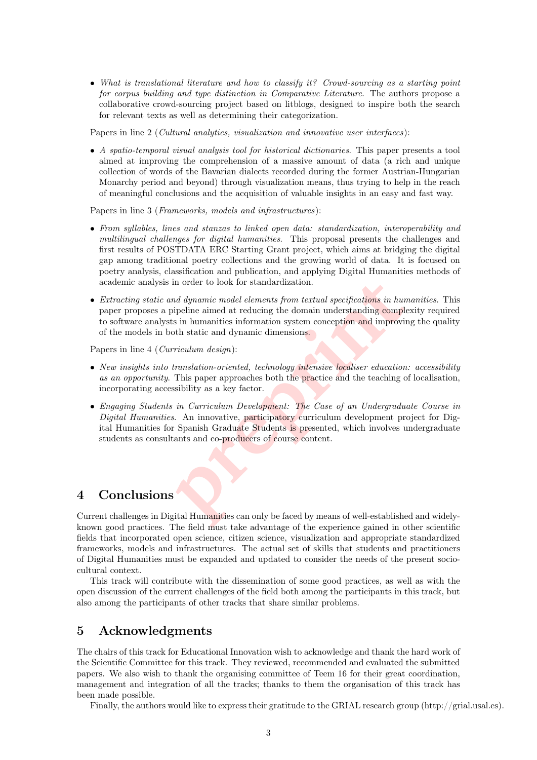• What is translational literature and how to classify it? Crowd-sourcing as a starting point for corpus building and type distinction in Comparative Literature. The authors propose a collaborative crowd-sourcing project based on litblogs, designed to inspire both the search for relevant texts as well as determining their categorization.

Papers in line 2 (Cultural analytics, visualization and innovative user interfaces):

• A spatio-temporal visual analysis tool for historical dictionaries. This paper presents a tool aimed at improving the comprehension of a massive amount of data (a rich and unique collection of words of the Bavarian dialects recorded during the former Austrian-Hungarian Monarchy period and beyond) through visualization means, thus trying to help in the reach of meaningful conclusions and the acquisition of valuable insights in an easy and fast way.

Papers in line 3 (Frameworks, models and infrastructures):

- From syllables, lines and stanzas to linked open data: standardization, interoperability and multilingual challenges for digital humanities. This proposal presents the challenges and first results of POSTDATA ERC Starting Grant project, which aims at bridging the digital gap among traditional poetry collections and the growing world of data. It is focused on poetry analysis, classification and publication, and applying Digital Humanities methods of academic analysis in order to look for standardization.
- Extracting static and dynamic model elements from textual specifications in humanities. This paper proposes a pipeline aimed at reducing the domain understanding complexity required to software analysts in humanities information system conception and improving the quality of the models in both static and dynamic dimensions.

Papers in line 4 (Curriculum design):

- New insights into translation-oriented, technology intensive localiser education: accessibility as an opportunity. This paper approaches both the practice and the teaching of localisation, incorporating accessibility as a key factor.
- in order to look for standardization.<br>
In dynamic model elements from textual specifications in hun<br>
ipeline aimed at reducing the domain understanding comples<br>
in humanities information system conception and improvi<br>
th s • Engaging Students in Curriculum Development: The Case of an Undergraduate Course in Digital Humanities. An innovative, participatory curriculum development project for Digital Humanities for Spanish Graduate Students is presented, which involves undergraduate students as consultants and co-producers of course content.

## 4 Conclusions

Current challenges in Digital Humanities can only be faced by means of well-established and widelyknown good practices. The field must take advantage of the experience gained in other scientific fields that incorporated open science, citizen science, visualization and appropriate standardized frameworks, models and infrastructures. The actual set of skills that students and practitioners of Digital Humanities must be expanded and updated to consider the needs of the present sociocultural context.

This track will contribute with the dissemination of some good practices, as well as with the open discussion of the current challenges of the field both among the participants in this track, but also among the participants of other tracks that share similar problems.

# 5 Acknowledgments

The chairs of this track for Educational Innovation wish to acknowledge and thank the hard work of the Scientific Committee for this track. They reviewed, recommended and evaluated the submitted papers. We also wish to thank the organising committee of Teem 16 for their great coordination, management and integration of all the tracks; thanks to them the organisation of this track has been made possible.

Finally, the authors would like to express their gratitude to the GRIAL research group (http://grial.usal.es).